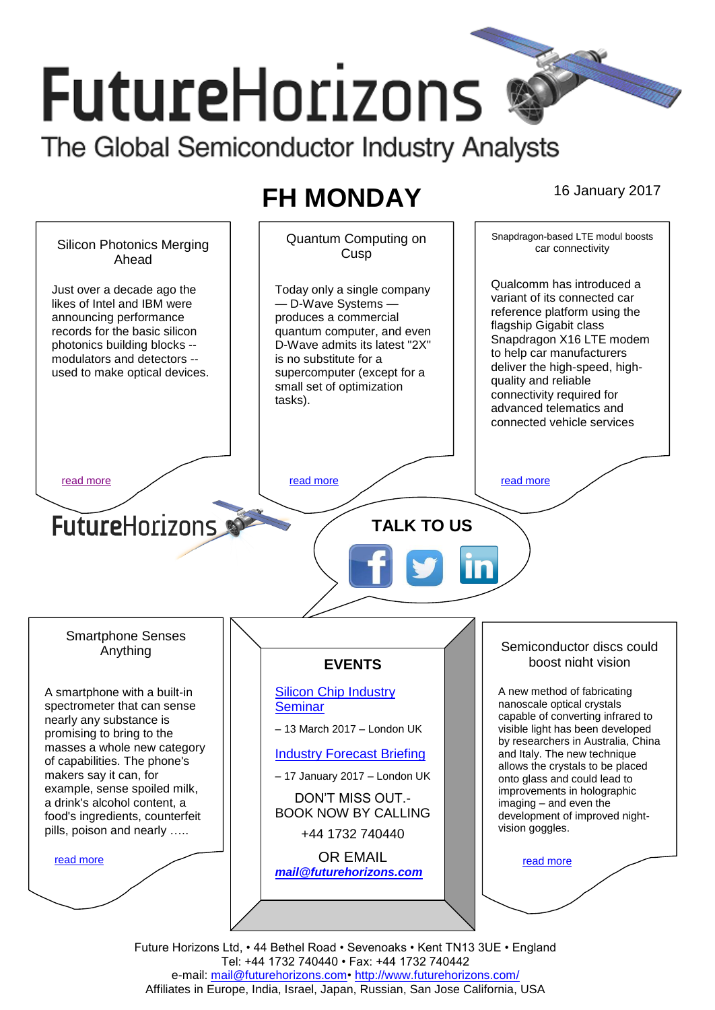# **FutureHorizons** The Global Semiconductor Industry Analysts

## **FH MONDAY** 16 January 2017

Snapdragon-based LTE modul boosts Quantum Computing on Silicon Photonics Merging car connectivity **Cusp** Ahead Qualcomm has introduced a Just over a decade ago the Today only a single company variant of its connected car likes of Intel and IBM were — D-Wave Systems reference platform using the announcing performance produces a commercial flagship Gigabit class records for the basic silicon quantum computer, and even Snapdragon X16 LTE modem D-Wave admits its latest "2X" photonics building blocks - to help car manufacturers modulators and detectors - is no substitute for a deliver the high-speed, highused to make optical devices. supercomputer (except for a quality and reliable small set of optimization connectivity required for tasks). advanced telematics and connected vehicle services [read more](#page-1-0) that the second contract the second contract of the read more that the read more that the read more **Future**Horizons **TALK TO US** Smartphone Senses Semiconductor discs could Anything boost night vision **EVENTS** [Silicon Chip Industry](http://www.futurehorizons.com/page/12/silicon-chip-training)  A new method of fabricating A smartphone with a built-in nanoscale optical crystals spectrometer that can sense **[Seminar](http://www.futurehorizons.com/page/12/silicon-chip-training)** capable of converting infrared to nearly any substance is – 13 March 2017 – London UK visible light has been developed promising to bring to the by researchers in Australia, China masses a whole new category [Industry Forecast Briefing](http://www.futurehorizons.com/page/13/Semiconductor-Market-Forecast-Seminar) and Italy. The new technique of capabilities. The phone's allows the crystals to be placed makers say it can, for – 17 January 2017 – London UK onto glass and could lead to example, sense spoiled milk, improvements in holographic DON'T MISS OUT. a drink's alcohol content, a imaging – and even the BOOK NOW BY CALLING food's ingredients, counterfeit development of improved nightvision goggles. pills, poison and nearly …..+44 1732 740440 OR EMAIL [read more](#page-1-2) [read more](#page-1-3) *[mail@futurehorizons.com](mailto:mail@futurehorizons.com)*

> Future Horizons Ltd, • 44 Bethel Road • Sevenoaks • Kent TN13 3UE • England Tel: +44 1732 740440 • Fax: +44 1732 740442 e-mail: mail@futurehorizons.com• http://www.futurehorizons.com/ Affiliates in Europe, India, Israel, Japan, Russian, San Jose California, USA